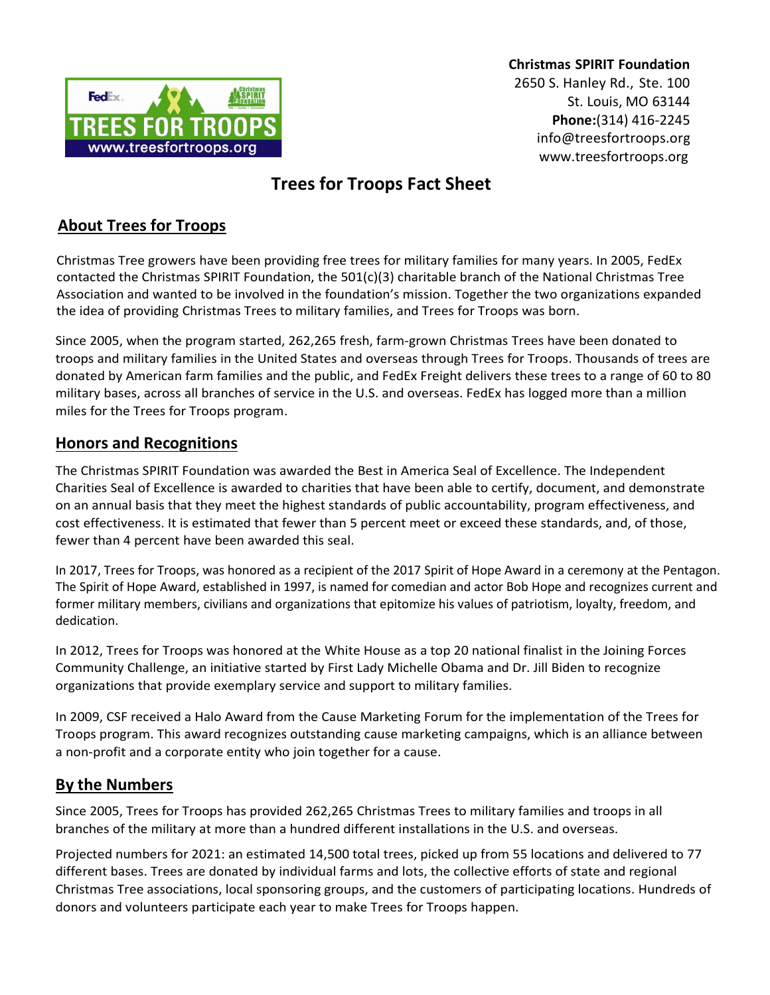

Christmas SPIRIT Foundation 2650 S. Hanley Rd., Ste. 100 St. Louis, MO 63144 Phone:(314) 416-2245 info@treesfortroops.org www.treesfortroops.org

# Trees for Troops Fact Sheet

## About Trees for Troops

Christmas Tree growers have been providing free trees for military families for many years. In 2005, FedEx contacted the Christmas SPIRIT Foundation, the 501(c)(3) charitable branch of the National Christmas Tree Association and wanted to be involved in the foundation's mission. Together the two organizations expanded the idea of providing Christmas Trees to military families, and Trees for Troops was born.

Since 2005, when the program started, 262,265 fresh, farm-grown Christmas Trees have been donated to troops and military families in the United States and overseas through Trees for Troops. Thousands of trees are donated by American farm families and the public, and FedEx Freight delivers these trees to a range of 60 to 80 military bases, across all branches of service in the U.S. and overseas. FedEx has logged more than a million miles for the Trees for Troops program.

#### Honors and Recognitions

The Christmas SPIRIT Foundation was awarded the Best in America Seal of Excellence. The Independent Charities Seal of Excellence is awarded to charities that have been able to certify, document, and demonstrate on an annual basis that they meet the highest standards of public accountability, program effectiveness, and cost effectiveness. It is estimated that fewer than 5 percent meet or exceed these standards, and, of those, fewer than 4 percent have been awarded this seal.

In 2017, Trees for Troops, was honored as a recipient of the 2017 Spirit of Hope Award in a ceremony at the Pentagon. The Spirit of Hope Award, established in 1997, is named for comedian and actor Bob Hope and recognizes current and former military members, civilians and organizations that epitomize his values of patriotism, loyalty, freedom, and dedication.

In 2012, Trees for Troops was honored at the White House as a top 20 national finalist in the Joining Forces Community Challenge, an initiative started by First Lady Michelle Obama and Dr. Jill Biden to recognize organizations that provide exemplary service and support to military families.

In 2009, CSF received a Halo Award from the Cause Marketing Forum for the implementation of the Trees for Troops program. This award recognizes outstanding cause marketing campaigns, which is an alliance between a non-profit and a corporate entity who join together for a cause.

#### By the Numbers

Since 2005, Trees for Troops has provided 262,265 Christmas Trees to military families and troops in all branches of the military at more than a hundred different installations in the U.S. and overseas.

Projected numbers for 2021: an estimated 14,500 total trees, picked up from 55 locations and delivered to 77 different bases. Trees are donated by individual farms and lots, the collective efforts of state and regional Christmas Tree associations, local sponsoring groups, and the customers of participating locations. Hundreds of donors and volunteers participate each year to make Trees for Troops happen.